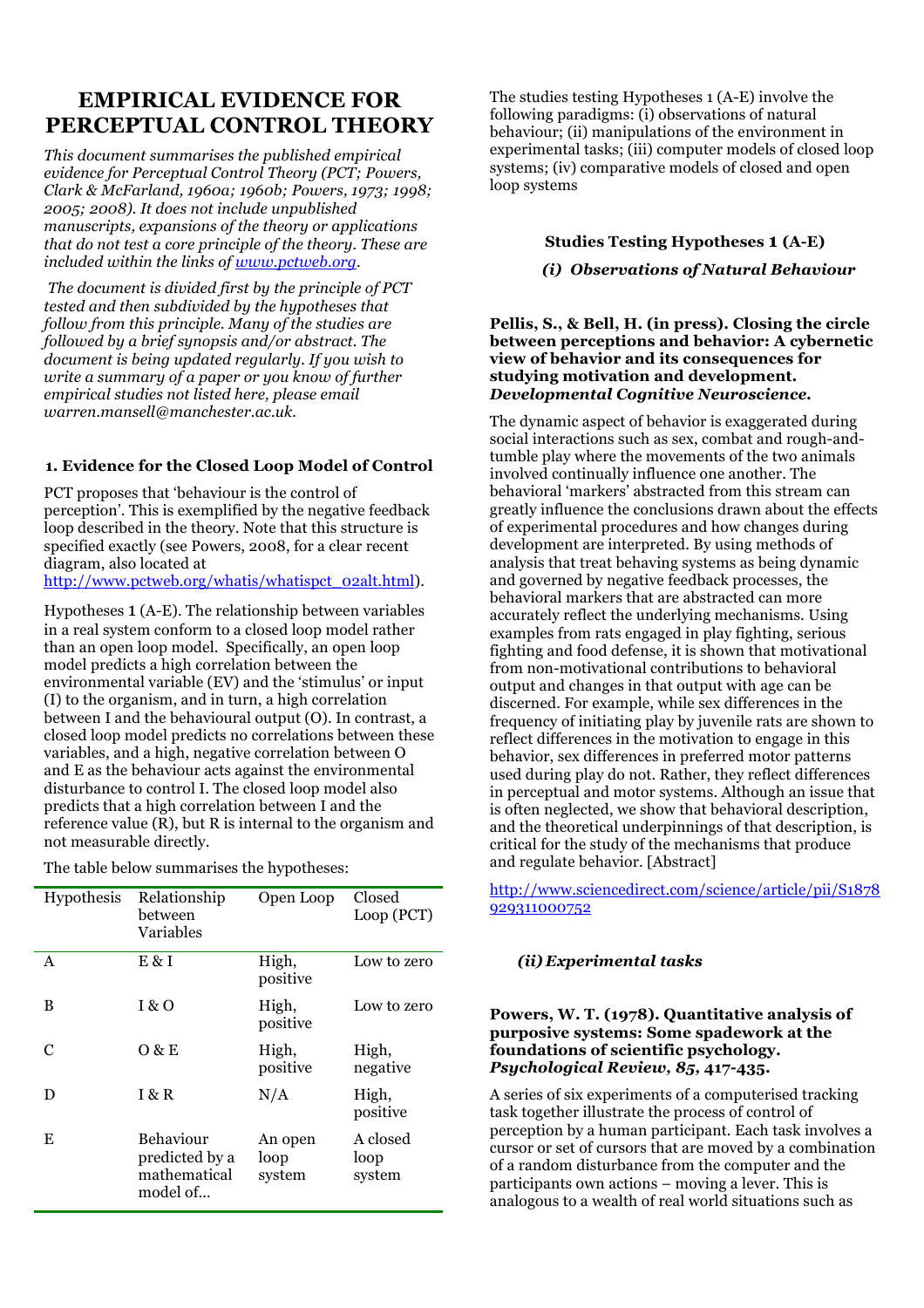# **EMPIRICAL EVIDENCE FOR PERCEPTUAL CONTROL THEORY**

*This document summarises the published empirical evidence for Perceptual Control Theory (PCT; Powers, Clark & McFarland, 1960a; 1960b; Powers, 1973; 1998; 2005; 2008). It does not include unpublished manuscripts, expansions of the theory or applications that do not test a core principle of the theory. These are included within the links of www.pctweb.org.*

 *The document is divided first by the principle of PCT tested and then subdivided by the hypotheses that follow from this principle. Many of the studies are followed by a brief synopsis and/or abstract. The document is being updated regularly. If you wish to write a summary of a paper or you know of further empirical studies not listed here, please email warren.mansell@manchester.ac.uk.* 

# **1. Evidence for the Closed Loop Model of Control**

PCT proposes that 'behaviour is the control of perception'. This is exemplified by the negative feedback loop described in the theory. Note that this structure is specified exactly (see Powers, 2008, for a clear recent diagram, also located at

http://www.pctweb.org/whatis/whatispct\_02alt.html).

Hypotheses 1 (A-E). The relationship between variables in a real system conform to a closed loop model rather than an open loop model. Specifically, an open loop model predicts a high correlation between the environmental variable (EV) and the 'stimulus' or input (I) to the organism, and in turn, a high correlation between I and the behavioural output (O). In contrast, a closed loop model predicts no correlations between these variables, and a high, negative correlation between O and E as the behaviour acts against the environmental disturbance to control I. The closed loop model also predicts that a high correlation between I and the reference value (R), but R is internal to the organism and not measurable directly.

| Hypothesis | Relationship<br>between<br>Variables                    | Open Loop                 | Closed<br>Loop (PCT)       |
|------------|---------------------------------------------------------|---------------------------|----------------------------|
| A          | E & I                                                   | High,<br>positive         | Low to zero                |
| B          | 1 & 0                                                   | High,<br>positive         | Low to zero                |
| C          | O & E                                                   | High,<br>positive         | High,<br>negative          |
| D          | 1 & R                                                   | N/A                       | High,<br>positive          |
| Е          | Behaviour<br>predicted by a<br>mathematical<br>model of | An open<br>loop<br>system | A closed<br>loop<br>system |

The table below summarises the hypotheses:

The studies testing Hypotheses 1 (A-E) involve the following paradigms: (i) observations of natural behaviour; (ii) manipulations of the environment in experimental tasks; (iii) computer models of closed loop systems; (iv) comparative models of closed and open loop systems

# **Studies Testing Hypotheses 1 (A-E)** *(i) Observations of Natural Behaviour*

#### **Pellis, S., & Bell, H. (in press). Closing the circle between perceptions and behavior: A cybernetic view of behavior and its consequences for studying motivation and development.**  *Developmental Cognitive Neuroscience.*

The dynamic aspect of behavior is exaggerated during social interactions such as sex, combat and rough-andtumble play where the movements of the two animals involved continually influence one another. The behavioral 'markers' abstracted from this stream can greatly influence the conclusions drawn about the effects of experimental procedures and how changes during development are interpreted. By using methods of analysis that treat behaving systems as being dynamic and governed by negative feedback processes, the behavioral markers that are abstracted can more accurately reflect the underlying mechanisms. Using examples from rats engaged in play fighting, serious fighting and food defense, it is shown that motivational from non-motivational contributions to behavioral output and changes in that output with age can be discerned. For example, while sex differences in the frequency of initiating play by juvenile rats are shown to reflect differences in the motivation to engage in this behavior, sex differences in preferred motor patterns used during play do not. Rather, they reflect differences in perceptual and motor systems. Although an issue that is often neglected, we show that behavioral description, and the theoretical underpinnings of that description, is critical for the study of the mechanisms that produce and regulate behavior. [Abstract]

http://www.sciencedirect.com/science/article/pii/S1878 929311000752

# *(ii) Experimental tasks*

#### **Powers, W. T. (1978). Quantitative analysis of purposive systems: Some spadework at the foundations of scientific psychology.**  *Psychological Review, 85,* **417-435.**

A series of six experiments of a computerised tracking task together illustrate the process of control of perception by a human participant. Each task involves a cursor or set of cursors that are moved by a combination of a random disturbance from the computer and the participants own actions – moving a lever. This is analogous to a wealth of real world situations such as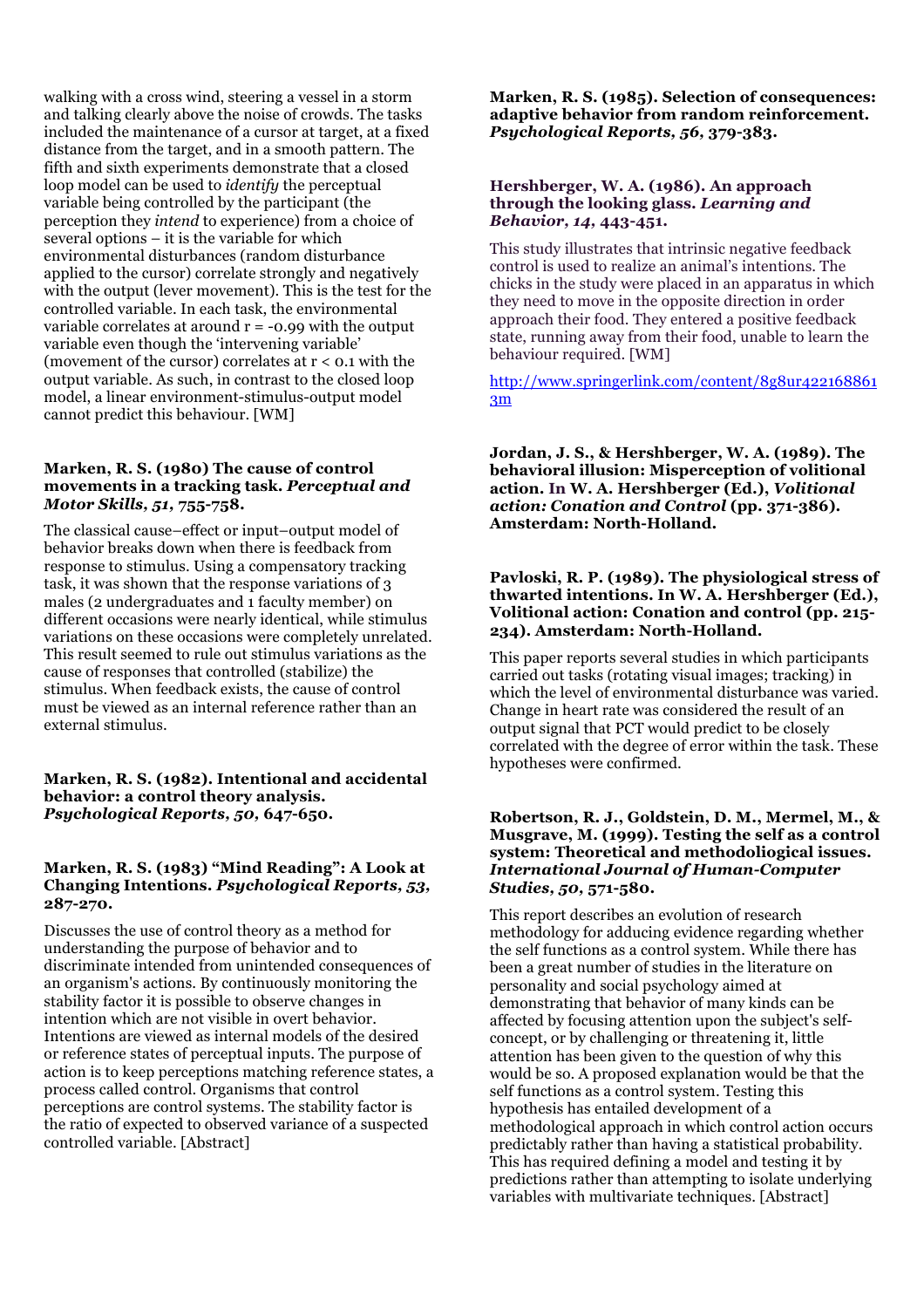walking with a cross wind, steering a vessel in a storm and talking clearly above the noise of crowds. The tasks included the maintenance of a cursor at target, at a fixed distance from the target, and in a smooth pattern. The fifth and sixth experiments demonstrate that a closed loop model can be used to *identify* the perceptual variable being controlled by the participant (the perception they *intend* to experience) from a choice of several options – it is the variable for which environmental disturbances (random disturbance applied to the cursor) correlate strongly and negatively with the output (lever movement). This is the test for the controlled variable. In each task, the environmental variable correlates at around  $r = -0.99$  with the output variable even though the 'intervening variable' (movement of the cursor) correlates at  $r < 0.1$  with the output variable. As such, in contrast to the closed loop model, a linear environment-stimulus-output model cannot predict this behaviour. [WM]

#### **Marken, R. S. (1980) The cause of control movements in a tracking task.** *Perceptual and Motor Skills, 51,* **755-758.**

The classical cause–effect or input–output model of behavior breaks down when there is feedback from response to stimulus. Using a compensatory tracking task, it was shown that the response variations of 3 males (2 undergraduates and 1 faculty member) on different occasions were nearly identical, while stimulus variations on these occasions were completely unrelated. This result seemed to rule out stimulus variations as the cause of responses that controlled (stabilize) the stimulus. When feedback exists, the cause of control must be viewed as an internal reference rather than an external stimulus.

#### **Marken, R. S. (1982). Intentional and accidental behavior: a control theory analysis.**  *Psychological Reports, 50,* **647-650.**

#### **Marken, R. S. (1983) "Mind Reading": A Look at Changing Intentions.** *Psychological Reports, 53,* **287-270.**

Discusses the use of control theory as a method for understanding the purpose of behavior and to discriminate intended from unintended consequences of an organism's actions. By continuously monitoring the stability factor it is possible to observe changes in intention which are not visible in overt behavior. Intentions are viewed as internal models of the desired or reference states of perceptual inputs. The purpose of action is to keep perceptions matching reference states, a process called control. Organisms that control perceptions are control systems. The stability factor is the ratio of expected to observed variance of a suspected controlled variable. [Abstract]

**Marken, R. S. (1985). Selection of consequences: adaptive behavior from random reinforcement.**  *Psychological Reports, 56,* **379-383.**

#### **Hershberger, W. A. (1986). An approach through the looking glass.** *Learning and Behavior, 14,* **443-451.**

This study illustrates that intrinsic negative feedback control is used to realize an animal's intentions. The chicks in the study were placed in an apparatus in which they need to move in the opposite direction in order approach their food. They entered a positive feedback state, running away from their food, unable to learn the behaviour required. [WM]

http://www.springerlink.com/content/8g8ur422168861 3m

**Jordan, J. S., & Hershberger, W. A. (1989). The behavioral illusion: Misperception of volitional action. In W. A. Hershberger (Ed.),** *Volitional action: Conation and Control* **(pp. 371-386). Amsterdam: North-Holland.**

#### **Pavloski, R. P. (1989). The physiological stress of thwarted intentions. In W. A. Hershberger (Ed.), Volitional action: Conation and control (pp. 215- 234). Amsterdam: North-Holland.**

This paper reports several studies in which participants carried out tasks (rotating visual images; tracking) in which the level of environmental disturbance was varied. Change in heart rate was considered the result of an output signal that PCT would predict to be closely correlated with the degree of error within the task. These hypotheses were confirmed.

#### **Robertson, R. J., Goldstein, D. M., Mermel, M., & Musgrave, M. (1999). Testing the self as a control system: Theoretical and methodoliogical issues.** *International Journal of Human-Computer Studies, 50,* **571-580.**

This report describes an evolution of research methodology for adducing evidence regarding whether the self functions as a control system. While there has been a great number of studies in the literature on personality and social psychology aimed at demonstrating that behavior of many kinds can be affected by focusing attention upon the subject's selfconcept, or by challenging or threatening it, little attention has been given to the question of why this would be so. A proposed explanation would be that the self functions as a control system. Testing this hypothesis has entailed development of a methodological approach in which control action occurs predictably rather than having a statistical probability. This has required defining a model and testing it by predictions rather than attempting to isolate underlying variables with multivariate techniques. [Abstract]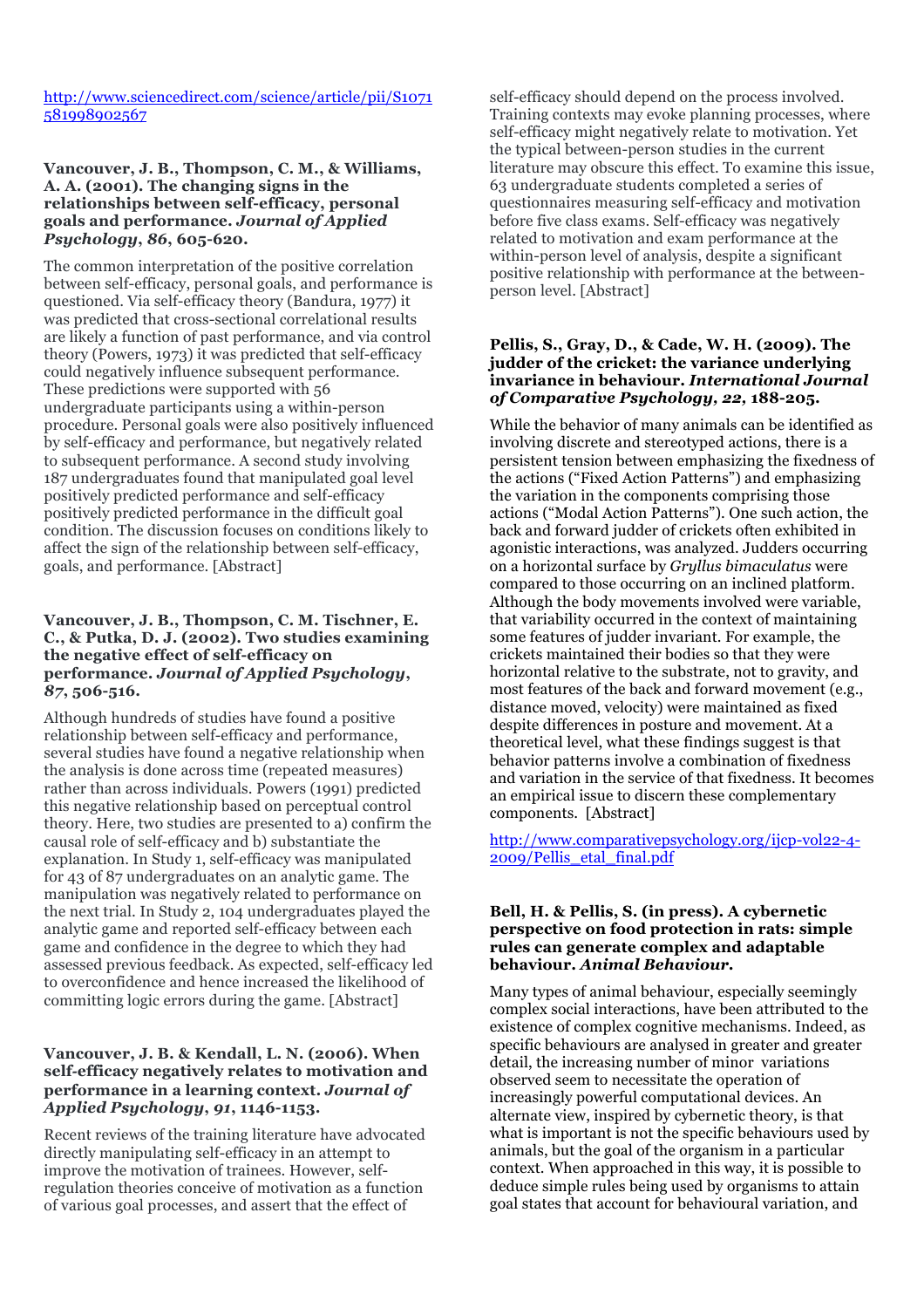http://www.sciencedirect.com/science/article/pii/S1071 581998902567

#### **Vancouver, J. B., Thompson, C. M., & Williams, A. A. (2001). The changing signs in the relationships between self-efficacy, personal goals and performance.** *Journal of Applied Psychology***,** *86***, 605-620.**

The common interpretation of the positive correlation between self-efficacy, personal goals, and performance is questioned. Via self-efficacy theory (Bandura, 1977) it was predicted that cross-sectional correlational results are likely a function of past performance, and via control theory (Powers, 1973) it was predicted that self-efficacy could negatively influence subsequent performance. These predictions were supported with 56 undergraduate participants using a within-person procedure. Personal goals were also positively influenced by self-efficacy and performance, but negatively related to subsequent performance. A second study involving 187 undergraduates found that manipulated goal level positively predicted performance and self-efficacy positively predicted performance in the difficult goal condition. The discussion focuses on conditions likely to affect the sign of the relationship between self-efficacy, goals, and performance. [Abstract]

#### **Vancouver, J. B., Thompson, C. M. Tischner, E. C., & Putka, D. J. (2002). Two studies examining the negative effect of self-efficacy on performance.** *Journal of Applied Psychology***,**  *87***, 506-516.**

Although hundreds of studies have found a positive relationship between self-efficacy and performance, several studies have found a negative relationship when the analysis is done across time (repeated measures) rather than across individuals. Powers (1991) predicted this negative relationship based on perceptual control theory. Here, two studies are presented to a) confirm the causal role of self-efficacy and b) substantiate the explanation. In Study 1, self-efficacy was manipulated for 43 of 87 undergraduates on an analytic game. The manipulation was negatively related to performance on the next trial. In Study 2, 104 undergraduates played the analytic game and reported self-efficacy between each game and confidence in the degree to which they had assessed previous feedback. As expected, self-efficacy led to overconfidence and hence increased the likelihood of committing logic errors during the game. [Abstract]

# **Vancouver, J. B. & Kendall, L. N. (2006). When self‑efficacy negatively relates to motivation and performance in a learning context.** *Journal of Applied Psychology***,** *91***, 1146-1153.**

Recent reviews of the training literature have advocated directly manipulating self-efficacy in an attempt to improve the motivation of trainees. However, selfregulation theories conceive of motivation as a function of various goal processes, and assert that the effect of

self-efficacy should depend on the process involved. Training contexts may evoke planning processes, where self-efficacy might negatively relate to motivation. Yet the typical between-person studies in the current literature may obscure this effect. To examine this issue, 63 undergraduate students completed a series of questionnaires measuring self-efficacy and motivation before five class exams. Self-efficacy was negatively related to motivation and exam performance at the within-person level of analysis, despite a significant positive relationship with performance at the betweenperson level. [Abstract]

#### **Pellis, S., Gray, D., & Cade, W. H. (2009). The judder of the cricket: the variance underlying invariance in behaviour.** *International Journal of Comparative Psychology, 22,* **188-205.**

While the behavior of many animals can be identified as involving discrete and stereotyped actions, there is a persistent tension between emphasizing the fixedness of the actions ("Fixed Action Patterns") and emphasizing the variation in the components comprising those actions ("Modal Action Patterns"). One such action, the back and forward judder of crickets often exhibited in agonistic interactions, was analyzed. Judders occurring on a horizontal surface by *Gryllus bimaculatus* were compared to those occurring on an inclined platform. Although the body movements involved were variable, that variability occurred in the context of maintaining some features of judder invariant. For example, the crickets maintained their bodies so that they were horizontal relative to the substrate, not to gravity, and most features of the back and forward movement (e.g., distance moved, velocity) were maintained as fixed despite differences in posture and movement. At a theoretical level, what these findings suggest is that behavior patterns involve a combination of fixedness and variation in the service of that fixedness. It becomes an empirical issue to discern these complementary components. [Abstract]

http://www.comparativepsychology.org/ijcp-vol22-4- 2009/Pellis\_etal\_final.pdf

#### **Bell, H. & Pellis, S. (in press). A cybernetic perspective on food protection in rats: simple rules can generate complex and adaptable behaviour.** *Animal Behaviour.*

Many types of animal behaviour, especially seemingly complex social interactions, have been attributed to the existence of complex cognitive mechanisms. Indeed, as specific behaviours are analysed in greater and greater detail, the increasing number of minor variations observed seem to necessitate the operation of increasingly powerful computational devices. An alternate view, inspired by cybernetic theory, is that what is important is not the specific behaviours used by animals, but the goal of the organism in a particular context. When approached in this way, it is possible to deduce simple rules being used by organisms to attain goal states that account for behavioural variation, and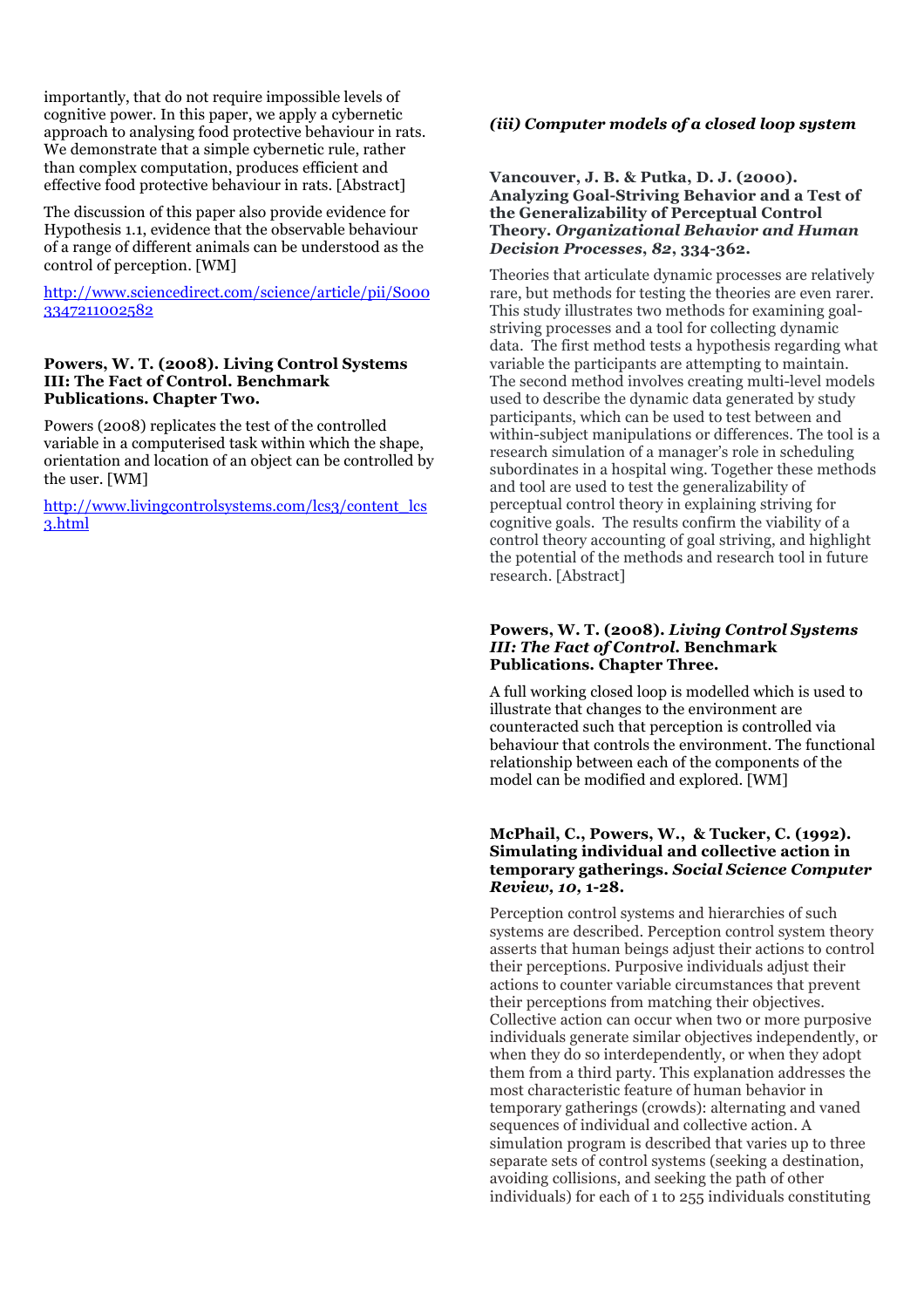importantly, that do not require impossible levels of cognitive power. In this paper, we apply a cybernetic approach to analysing food protective behaviour in rats. We demonstrate that a simple cybernetic rule, rather than complex computation, produces efficient and effective food protective behaviour in rats. [Abstract]

The discussion of this paper also provide evidence for Hypothesis 1.1, evidence that the observable behaviour of a range of different animals can be understood as the control of perception. [WM]

http://www.sciencedirect.com/science/article/pii/S000 3347211002582

#### **Powers, W. T. (2008). Living Control Systems III: The Fact of Control. Benchmark Publications. Chapter Two.**

Powers (2008) replicates the test of the controlled variable in a computerised task within which the shape, orientation and location of an object can be controlled by the user. [WM]

http://www.livingcontrolsystems.com/lcs3/content\_lcs  $3.html$ 

# *(iii) Computer models of a closed loop system*

#### **Vancouver, J. B. & Putka, D. J. (2000). Analyzing Goal-Striving Behavior and a Test of the Generalizability of Perceptual Control Theory.** *Organizational Behavior and Human Decision Processes***,** *82***, 334-362.**

Theories that articulate dynamic processes are relatively rare, but methods for testing the theories are even rarer. This study illustrates two methods for examining goalstriving processes and a tool for collecting dynamic data. The first method tests a hypothesis regarding what variable the participants are attempting to maintain. The second method involves creating multi-level models used to describe the dynamic data generated by study participants, which can be used to test between and within-subject manipulations or differences. The tool is a research simulation of a manager's role in scheduling subordinates in a hospital wing. Together these methods and tool are used to test the generalizability of perceptual control theory in explaining striving for cognitive goals. The results confirm the viability of a control theory accounting of goal striving, and highlight the potential of the methods and research tool in future research. [Abstract]

#### **Powers, W. T. (2008).** *Living Control Systems III: The Fact of Control***. Benchmark Publications. Chapter Three.**

A full working closed loop is modelled which is used to illustrate that changes to the environment are counteracted such that perception is controlled via behaviour that controls the environment. The functional relationship between each of the components of the model can be modified and explored. [WM]

#### **McPhail, C., Powers, W., & Tucker, C. (1992). Simulating individual and collective action in temporary gatherings.** *Social Science Computer Review, 10,* **1-28.**

Perception control systems and hierarchies of such systems are described. Perception control system theory asserts that human beings adjust their actions to control their perceptions. Purposive individuals adjust their actions to counter variable circumstances that prevent their perceptions from matching their objectives. Collective action can occur when two or more purposive individuals generate similar objectives independently, or when they do so interdependently, or when they adopt them from a third party. This explanation addresses the most characteristic feature of human behavior in temporary gatherings (crowds): alternating and vaned sequences of individual and collective action. A simulation program is described that varies up to three separate sets of control systems (seeking a destination, avoiding collisions, and seeking the path of other individuals) for each of 1 to 255 individuals constituting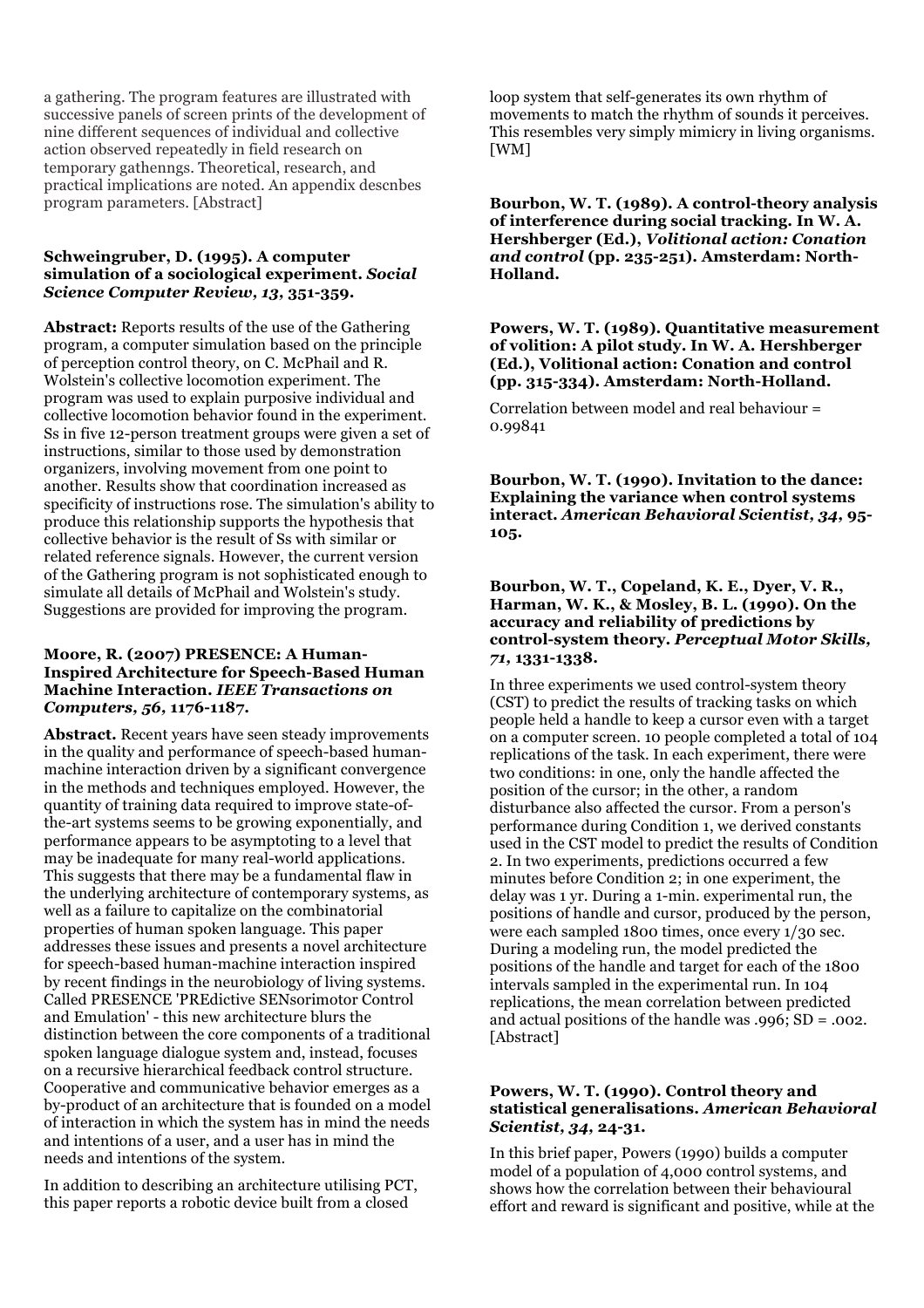a gathering. The program features are illustrated with successive panels of screen prints of the development of nine different sequences of individual and collective action observed repeatedly in field research on temporary gathenngs. Theoretical, research, and practical implications are noted. An appendix descnbes program parameters. [Abstract]

#### **Schweingruber, D. (1995). A computer simulation of a sociological experiment.** *Social Science Computer Review, 13,* **351-359.**

Abstract: Reports results of the use of the Gathering program, a computer simulation based on the principle of perception control theory, on C. McPhail and R. Wolstein's collective locomotion experiment. The program was used to explain purposive individual and collective locomotion behavior found in the experiment. Ss in five 12-person treatment groups were given a set of instructions, similar to those used by demonstration organizers, involving movement from one point to another. Results show that coordination increased as specificity of instructions rose. The simulation's ability to produce this relationship supports the hypothesis that collective behavior is the result of Ss with similar or related reference signals. However, the current version of the Gathering program is not sophisticated enough to simulate all details of McPhail and Wolstein's study. Suggestions are provided for improving the program.

#### **Moore, R. (2007) PRESENCE: A Human-Inspired Architecture for Speech-Based Human Machine Interaction.** *IEEE Transactions on Computers, 56,* **1176-1187.**

**Abstract.** Recent years have seen steady improvements in the quality and performance of speech-based humanmachine interaction driven by a significant convergence in the methods and techniques employed. However, the quantity of training data required to improve state-ofthe-art systems seems to be growing exponentially, and performance appears to be asymptoting to a level that may be inadequate for many real-world applications. This suggests that there may be a fundamental flaw in the underlying architecture of contemporary systems, as well as a failure to capitalize on the combinatorial properties of human spoken language. This paper addresses these issues and presents a novel architecture for speech-based human-machine interaction inspired by recent findings in the neurobiology of living systems. Called PRESENCE 'PREdictive SENsorimotor Control and Emulation' - this new architecture blurs the distinction between the core components of a traditional spoken language dialogue system and, instead, focuses on a recursive hierarchical feedback control structure. Cooperative and communicative behavior emerges as a by-product of an architecture that is founded on a model of interaction in which the system has in mind the needs and intentions of a user, and a user has in mind the needs and intentions of the system.

In addition to describing an architecture utilising PCT, this paper reports a robotic device built from a closed

loop system that self-generates its own rhythm of movements to match the rhythm of sounds it perceives. This resembles very simply mimicry in living organisms. [WM]

**Bourbon, W. T. (1989). A control-theory analysis of interference during social tracking. In W. A. Hershberger (Ed.),** *Volitional action: Conation and control* **(pp. 235-251). Amsterdam: North-Holland.**

**Powers, W. T. (1989). Quantitative measurement of volition: A pilot study. In W. A. Hershberger (Ed.), Volitional action: Conation and control (pp. 315-334). Amsterdam: North-Holland.**

Correlation between model and real behaviour = 0.99841

**Bourbon, W. T. (1990). Invitation to the dance: Explaining the variance when control systems interact.** *American Behavioral Scientist, 34,* **95- 105.**

#### **Bourbon, W. T., Copeland, K. E., Dyer, V. R., Harman, W. K., & Mosley, B. L. (1990). On the accuracy and reliability of predictions by control-system theory.** *Perceptual Motor Skills, 71,* **1331-1338.**

In three experiments we used control-system theory (CST) to predict the results of tracking tasks on which people held a handle to keep a cursor even with a target on a computer screen. 10 people completed a total of 104 replications of the task. In each experiment, there were two conditions: in one, only the handle affected the position of the cursor; in the other, a random disturbance also affected the cursor. From a person's performance during Condition 1, we derived constants used in the CST model to predict the results of Condition 2. In two experiments, predictions occurred a few minutes before Condition 2; in one experiment, the delay was 1 yr. During a 1-min. experimental run, the positions of handle and cursor, produced by the person, were each sampled 1800 times, once every 1/30 sec. During a modeling run, the model predicted the positions of the handle and target for each of the 1800 intervals sampled in the experimental run. In 104 replications, the mean correlation between predicted and actual positions of the handle was .996; SD = .002. [Abstract]

#### **Powers, W. T. (1990). Control theory and statistical generalisations.** *American Behavioral Scientist, 34,* **24-31.**

In this brief paper, Powers (1990) builds a computer model of a population of 4,000 control systems, and shows how the correlation between their behavioural effort and reward is significant and positive, while at the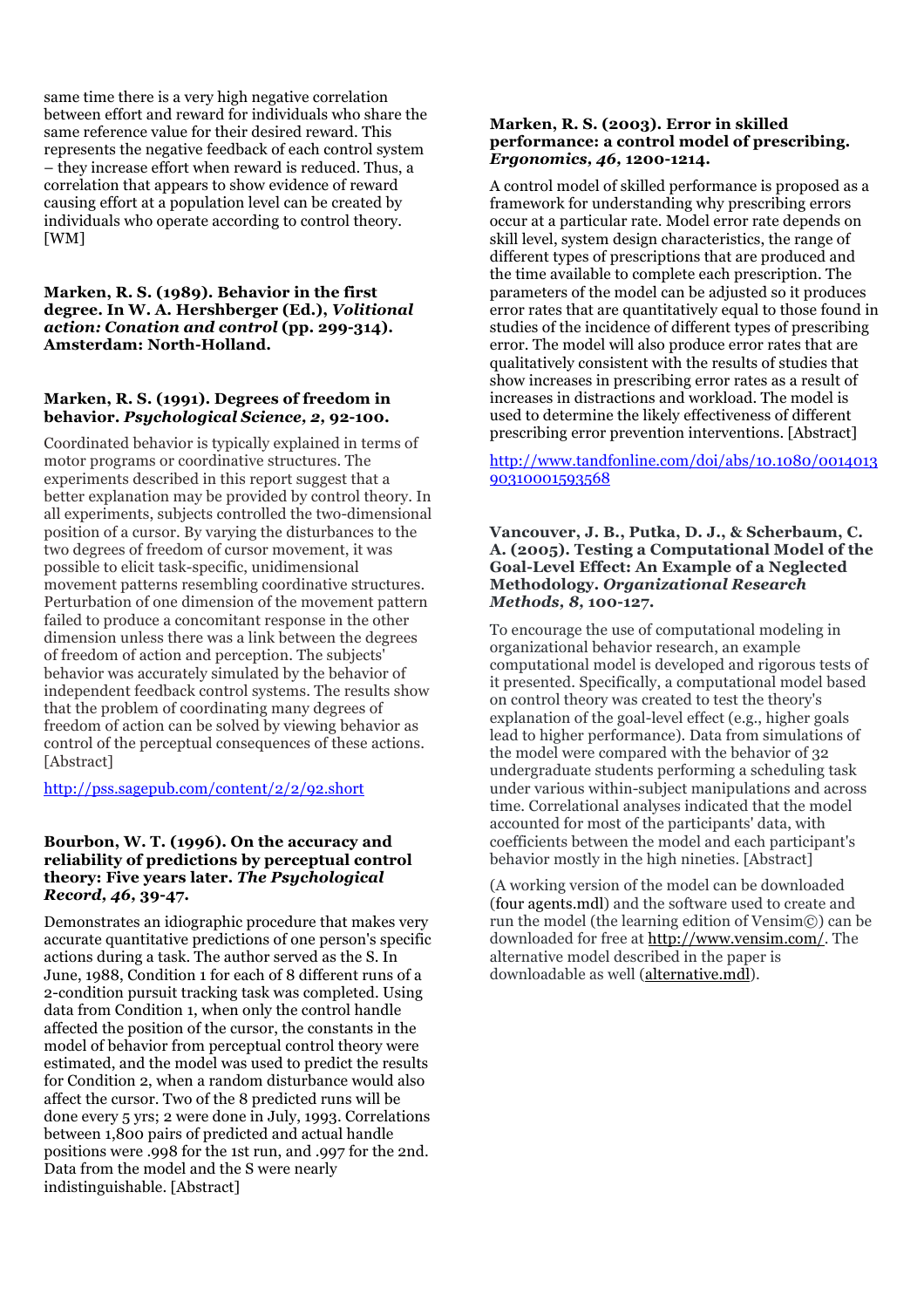same time there is a very high negative correlation between effort and reward for individuals who share the same reference value for their desired reward. This represents the negative feedback of each control system – they increase effort when reward is reduced. Thus, a correlation that appears to show evidence of reward causing effort at a population level can be created by individuals who operate according to control theory. [WM]

**Marken, R. S. (1989). Behavior in the first degree. In W. A. Hershberger (Ed.),** *Volitional action: Conation and control* **(pp. 299-314). Amsterdam: North-Holland.**

#### **Marken, R. S. (1991). Degrees of freedom in behavior.** *Psychological Science, 2,* **92-100.**

Coordinated behavior is typically explained in terms of motor programs or coordinative structures. The experiments described in this report suggest that a better explanation may be provided by control theory. In all experiments, subjects controlled the two-dimensional position of a cursor. By varying the disturbances to the two degrees of freedom of cursor movement, it was possible to elicit task-specific, unidimensional movement patterns resembling coordinative structures. Perturbation of one dimension of the movement pattern failed to produce a concomitant response in the other dimension unless there was a link between the degrees of freedom of action and perception. The subjects' behavior was accurately simulated by the behavior of independent feedback control systems. The results show that the problem of coordinating many degrees of freedom of action can be solved by viewing behavior as control of the perceptual consequences of these actions. [Abstract]

http://pss.sagepub.com/content/2/2/92.short

### **Bourbon, W. T. (1996). On the accuracy and reliability of predictions by perceptual control theory: Five years later.** *The Psychological Record, 46,* **39-47.**

Demonstrates an idiographic procedure that makes very accurate quantitative predictions of one person's specific actions during a task. The author served as the S. In June, 1988, Condition 1 for each of 8 different runs of a 2-condition pursuit tracking task was completed. Using data from Condition 1, when only the control handle affected the position of the cursor, the constants in the model of behavior from perceptual control theory were estimated, and the model was used to predict the results for Condition 2, when a random disturbance would also affect the cursor. Two of the 8 predicted runs will be done every 5 yrs; 2 were done in July, 1993. Correlations between 1,800 pairs of predicted and actual handle positions were .998 for the 1st run, and .997 for the 2nd. Data from the model and the S were nearly indistinguishable. [Abstract]

#### **Marken, R. S. (2003). Error in skilled performance: a control model of prescribing.**  *Ergonomics, 46,* **1200-1214.**

A control model of skilled performance is proposed as a framework for understanding why prescribing errors occur at a particular rate. Model error rate depends on skill level, system design characteristics, the range of different types of prescriptions that are produced and the time available to complete each prescription. The parameters of the model can be adjusted so it produces error rates that are quantitatively equal to those found in studies of the incidence of different types of prescribing error. The model will also produce error rates that are qualitatively consistent with the results of studies that show increases in prescribing error rates as a result of increases in distractions and workload. The model is used to determine the likely effectiveness of different prescribing error prevention interventions. [Abstract]

### http://www.tandfonline.com/doi/abs/10.1080/0014013 90310001593568

#### **Vancouver, J. B., Putka, D. J., & Scherbaum, C. A. (2005). Testing a Computational Model of the Goal-Level Effect: An Example of a Neglected Methodology.** *Organizational Research Methods, 8,* **100-127.**

To encourage the use of computational modeling in organizational behavior research, an example computational model is developed and rigorous tests of it presented. Specifically, a computational model based on control theory was created to test the theory's explanation of the goal-level effect (e.g., higher goals lead to higher performance). Data from simulations of the model were compared with the behavior of 32 undergraduate students performing a scheduling task under various within-subject manipulations and across time. Correlational analyses indicated that the model accounted for most of the participants' data, with coefficients between the model and each participant's behavior mostly in the high nineties. [Abstract]

(A working version of the model can be downloaded (four agents.mdl) and the software used to create and run the model (the learning edition of Vensim©) can be downloaded for free at http://www.vensim.com/. The alternative model described in the paper is downloadable as well (alternative.mdl).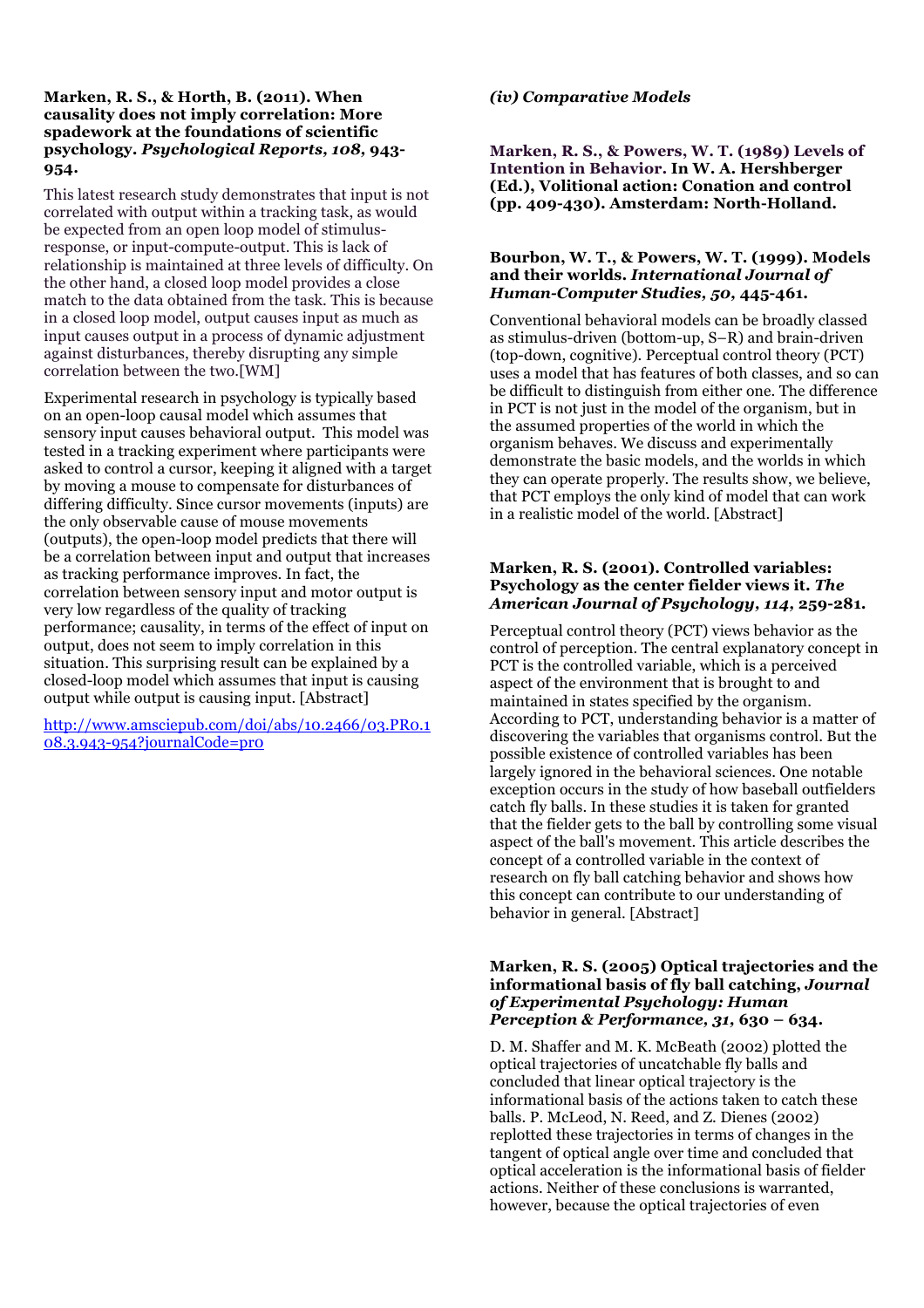#### **Marken, R. S., & Horth, B. (2011). When causality does not imply correlation: More spadework at the foundations of scientific psychology.** *Psychological Reports, 108,* **943- 954.**

This latest research study demonstrates that input is not correlated with output within a tracking task, as would be expected from an open loop model of stimulusresponse, or input-compute-output. This is lack of relationship is maintained at three levels of difficulty. On the other hand, a closed loop model provides a close match to the data obtained from the task. This is because in a closed loop model, output causes input as much as input causes output in a process of dynamic adjustment against disturbances, thereby disrupting any simple correlation between the two.[WM]

Experimental research in psychology is typically based on an open-loop causal model which assumes that sensory input causes behavioral output. This model was tested in a tracking experiment where participants were asked to control a cursor, keeping it aligned with a target by moving a mouse to compensate for disturbances of differing difficulty. Since cursor movements (inputs) are the only observable cause of mouse movements (outputs), the open-loop model predicts that there will be a correlation between input and output that increases as tracking performance improves. In fact, the correlation between sensory input and motor output is very low regardless of the quality of tracking performance; causality, in terms of the effect of input on output, does not seem to imply correlation in this situation. This surprising result can be explained by a closed-loop model which assumes that input is causing output while output is causing input. [Abstract]

http://www.amsciepub.com/doi/abs/10.2466/03.PR0.1 08.3.943-954?journalCode=pr0

#### *(iv) Comparative Models*

**Marken, R. S., & Powers, W. T. (1989) Levels of Intention in Behavior. In W. A. Hershberger (Ed.), Volitional action: Conation and control (pp. 409-430). Amsterdam: North-Holland.**

#### **Bourbon, W. T., & Powers, W. T. (1999). Models and their worlds.** *International Journal of Human-Computer Studies, 50,* **445-461.**

Conventional behavioral models can be broadly classed as stimulus-driven (bottom-up, S–R) and brain-driven (top-down, cognitive). Perceptual control theory (PCT) uses a model that has features of both classes, and so can be difficult to distinguish from either one. The difference in PCT is not just in the model of the organism, but in the assumed properties of the world in which the organism behaves. We discuss and experimentally demonstrate the basic models, and the worlds in which they can operate properly. The results show, we believe, that PCT employs the only kind of model that can work in a realistic model of the world. [Abstract]

#### **Marken, R. S. (2001). Controlled variables: Psychology as the center fielder views it.** *The American Journal of Psychology, 114,* **259-281.**

Perceptual control theory (PCT) views behavior as the control of perception. The central explanatory concept in PCT is the controlled variable, which is a perceived aspect of the environment that is brought to and maintained in states specified by the organism. According to PCT, understanding behavior is a matter of discovering the variables that organisms control. But the possible existence of controlled variables has been largely ignored in the behavioral sciences. One notable exception occurs in the study of how baseball outfielders catch fly balls. In these studies it is taken for granted that the fielder gets to the ball by controlling some visual aspect of the ball's movement. This article describes the concept of a controlled variable in the context of research on fly ball catching behavior and shows how this concept can contribute to our understanding of behavior in general. [Abstract]

#### **Marken, R. S. (2005) Optical trajectories and the informational basis of fly ball catching,** *Journal of Experimental Psychology: Human Perception & Performance, 31,* **630 – 634.**

D. M. Shaffer and M. K. McBeath (2002) plotted the optical trajectories of uncatchable fly balls and concluded that linear optical trajectory is the informational basis of the actions taken to catch these balls. P. McLeod, N. Reed, and Z. Dienes (2002) replotted these trajectories in terms of changes in the tangent of optical angle over time and concluded that optical acceleration is the informational basis of fielder actions. Neither of these conclusions is warranted, however, because the optical trajectories of even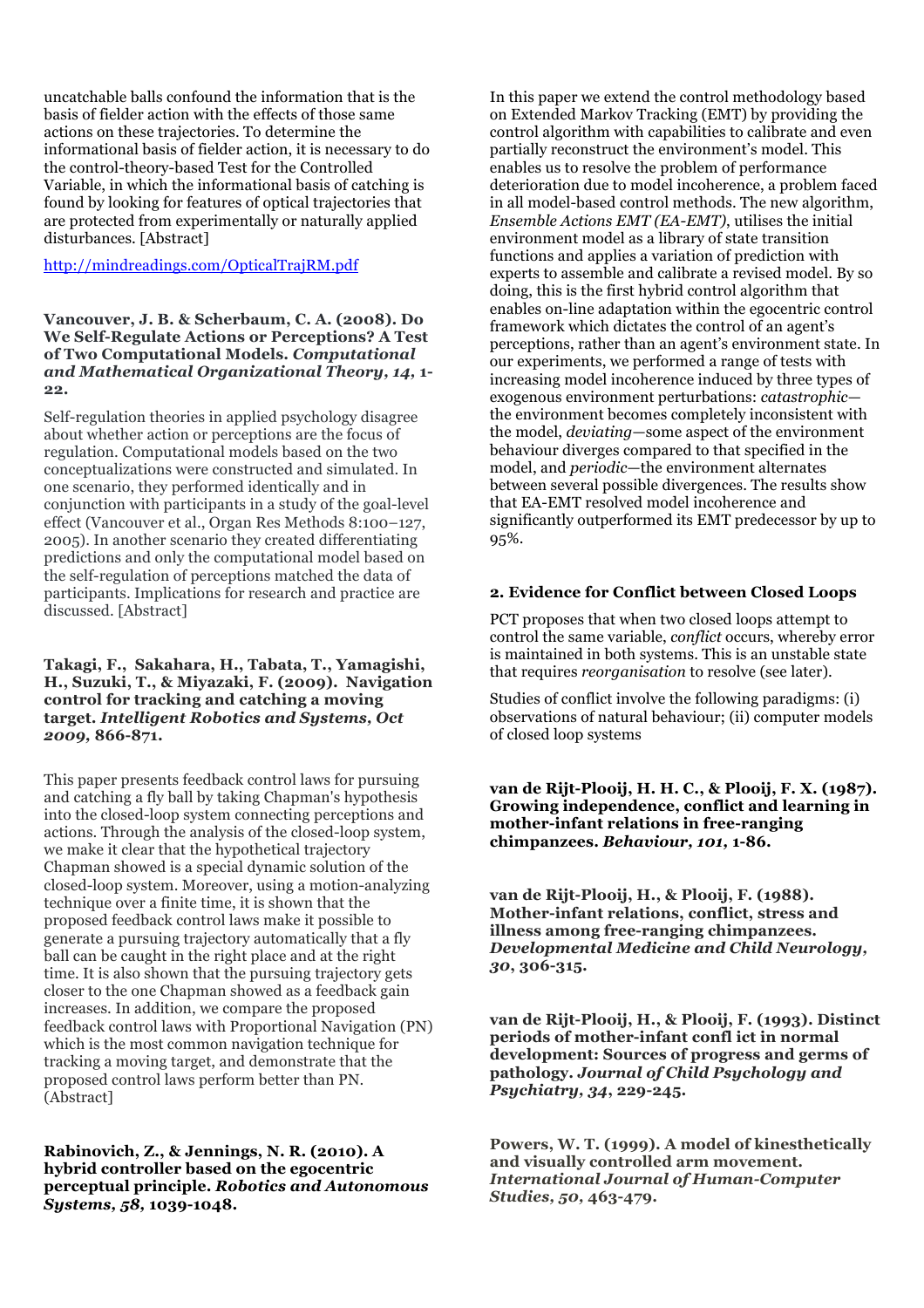uncatchable balls confound the information that is the basis of fielder action with the effects of those same actions on these trajectories. To determine the informational basis of fielder action, it is necessary to do the control-theory-based Test for the Controlled Variable, in which the informational basis of catching is found by looking for features of optical trajectories that are protected from experimentally or naturally applied disturbances. [Abstract]

http://mindreadings.com/OpticalTrajRM.pdf

#### **Vancouver, J. B. & Scherbaum, C. A. (2008). Do We Self-Regulate Actions or Perceptions? A Test of Two Computational Models.** *Computational and Mathematical Organizational Theory, 14,* **1- 22.**

Self-regulation theories in applied psychology disagree about whether action or perceptions are the focus of regulation. Computational models based on the two conceptualizations were constructed and simulated. In one scenario, they performed identically and in conjunction with participants in a study of the goal-level effect (Vancouver et al., Organ Res Methods 8:100–127, 2005). In another scenario they created differentiating predictions and only the computational model based on the self-regulation of perceptions matched the data of participants. Implications for research and practice are discussed. [Abstract]

#### **Takagi, F., Sakahara, H., Tabata, T., Yamagishi, H., Suzuki, T., & Miyazaki, F. (2009). Navigation control for tracking and catching a moving target.** *Intelligent Robotics and Systems, Oct 2009,* **866-871.**

This paper presents feedback control laws for pursuing and catching a fly ball by taking Chapman's hypothesis into the closed-loop system connecting perceptions and actions. Through the analysis of the closed-loop system, we make it clear that the hypothetical trajectory Chapman showed is a special dynamic solution of the closed-loop system. Moreover, using a motion-analyzing technique over a finite time, it is shown that the proposed feedback control laws make it possible to generate a pursuing trajectory automatically that a fly ball can be caught in the right place and at the right time. It is also shown that the pursuing trajectory gets closer to the one Chapman showed as a feedback gain increases. In addition, we compare the proposed feedback control laws with Proportional Navigation (PN) which is the most common navigation technique for tracking a moving target, and demonstrate that the proposed control laws perform better than PN. (Abstract]

#### **Rabinovich, Z., & Jennings, N. R. (2010). A hybrid controller based on the egocentric perceptual principle.** *Robotics and Autonomous Systems, 58,* **1039-1048.**

In this paper we extend the control methodology based on Extended Markov Tracking (EMT) by providing the control algorithm with capabilities to calibrate and even partially reconstruct the environment's model. This enables us to resolve the problem of performance deterioration due to model incoherence, a problem faced in all model-based control methods. The new algorithm, *Ensemble Actions EMT (EA-EMT)*, utilises the initial environment model as a library of state transition functions and applies a variation of prediction with experts to assemble and calibrate a revised model. By so doing, this is the first hybrid control algorithm that enables on-line adaptation within the egocentric control framework which dictates the control of an agent's perceptions, rather than an agent's environment state. In our experiments, we performed a range of tests with increasing model incoherence induced by three types of exogenous environment perturbations: *catastrophic* the environment becomes completely inconsistent with the model, *deviating*—some aspect of the environment behaviour diverges compared to that specified in the model, and *periodic*—the environment alternates between several possible divergences. The results show that EA-EMT resolved model incoherence and significantly outperformed its EMT predecessor by up to 95%.

# **2. Evidence for Conflict between Closed Loops**

PCT proposes that when two closed loops attempt to control the same variable, *conflict* occurs, whereby error is maintained in both systems. This is an unstable state that requires *reorganisation* to resolve (see later).

Studies of conflict involve the following paradigms: (i) observations of natural behaviour; (ii) computer models of closed loop systems

**van de Rijt-Plooij, H. H. C., & Plooij, F. X. (1987). Growing independence, conflict and learning in mother-infant relations in free-ranging chimpanzees.** *Behaviour, 101,* **1-86.**

**van de Rijt-Plooij, H., & Plooij, F. (1988). Mother-infant relations, conflict, stress and illness among free-ranging chimpanzees.** *Developmental Medicine and Child Neurology, 30***, 306-315.**

**van de Rijt-Plooij, H., & Plooij, F. (1993). Distinct periods of mother-infant confl ict in normal development: Sources of progress and germs of pathology.** *Journal of Child Psychology and Psychiatry, 34***, 229-245.**

**Powers, W. T. (1999). A model of kinesthetically and visually controlled arm movement.**  *International Journal of Human-Computer Studies, 50,* **463-479.**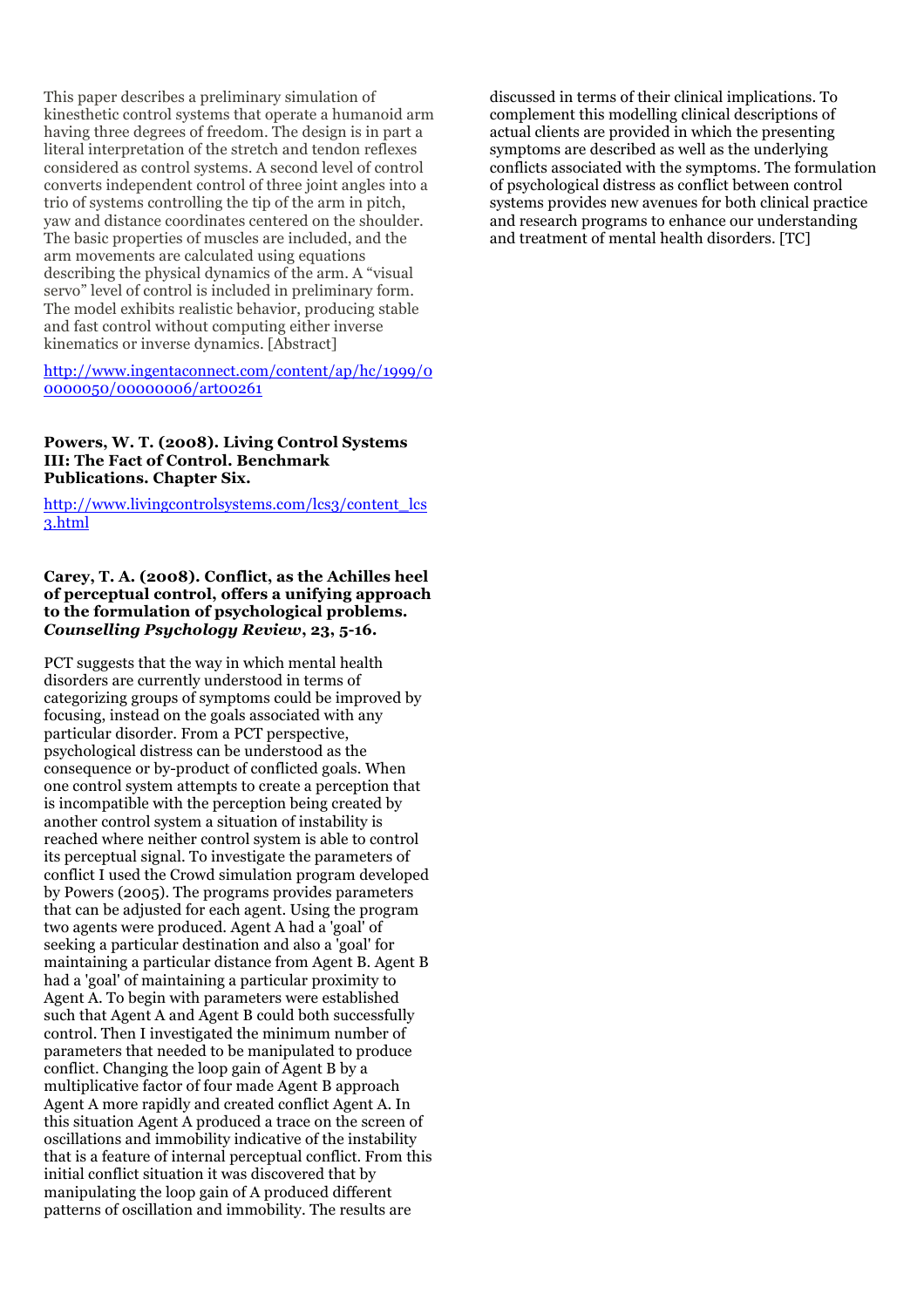This paper describes a preliminary simulation of kinesthetic control systems that operate a humanoid arm having three degrees of freedom. The design is in part a literal interpretation of the stretch and tendon reflexes considered as control systems. A second level of control converts independent control of three joint angles into a trio of systems controlling the tip of the arm in pitch, yaw and distance coordinates centered on the shoulder. The basic properties of muscles are included, and the arm movements are calculated using equations describing the physical dynamics of the arm. A "visual servo" level of control is included in preliminary form. The model exhibits realistic behavior, producing stable and fast control without computing either inverse kinematics or inverse dynamics. [Abstract]

http://www.ingentaconnect.com/content/ap/hc/1999/0 0000050/00000006/art00261

#### **Powers, W. T. (2008). Living Control Systems III: The Fact of Control. Benchmark Publications. Chapter Six.**

http://www.livingcontrolsystems.com/lcs3/content\_lcs 3.html

#### **Carey, T. A. (2008). Conflict, as the Achilles heel of perceptual control, offers a unifying approach to the formulation of psychological problems.**  *Counselling Psychology Review***, 23, 5-16.**

PCT suggests that the way in which mental health disorders are currently understood in terms of categorizing groups of symptoms could be improved by focusing, instead on the goals associated with any particular disorder. From a PCT perspective, psychological distress can be understood as the consequence or by-product of conflicted goals. When one control system attempts to create a perception that is incompatible with the perception being created by another control system a situation of instability is reached where neither control system is able to control its perceptual signal. To investigate the parameters of conflict I used the Crowd simulation program developed by Powers (2005). The programs provides parameters that can be adjusted for each agent. Using the program two agents were produced. Agent A had a 'goal' of seeking a particular destination and also a 'goal' for maintaining a particular distance from Agent B. Agent B had a 'goal' of maintaining a particular proximity to Agent A. To begin with parameters were established such that Agent A and Agent B could both successfully control. Then I investigated the minimum number of parameters that needed to be manipulated to produce conflict. Changing the loop gain of Agent B by a multiplicative factor of four made Agent B approach Agent A more rapidly and created conflict Agent A. In this situation Agent A produced a trace on the screen of oscillations and immobility indicative of the instability that is a feature of internal perceptual conflict. From this initial conflict situation it was discovered that by manipulating the loop gain of A produced different patterns of oscillation and immobility. The results are

discussed in terms of their clinical implications. To complement this modelling clinical descriptions of actual clients are provided in which the presenting symptoms are described as well as the underlying conflicts associated with the symptoms. The formulation of psychological distress as conflict between control systems provides new avenues for both clinical practice and research programs to enhance our understanding and treatment of mental health disorders. [TC]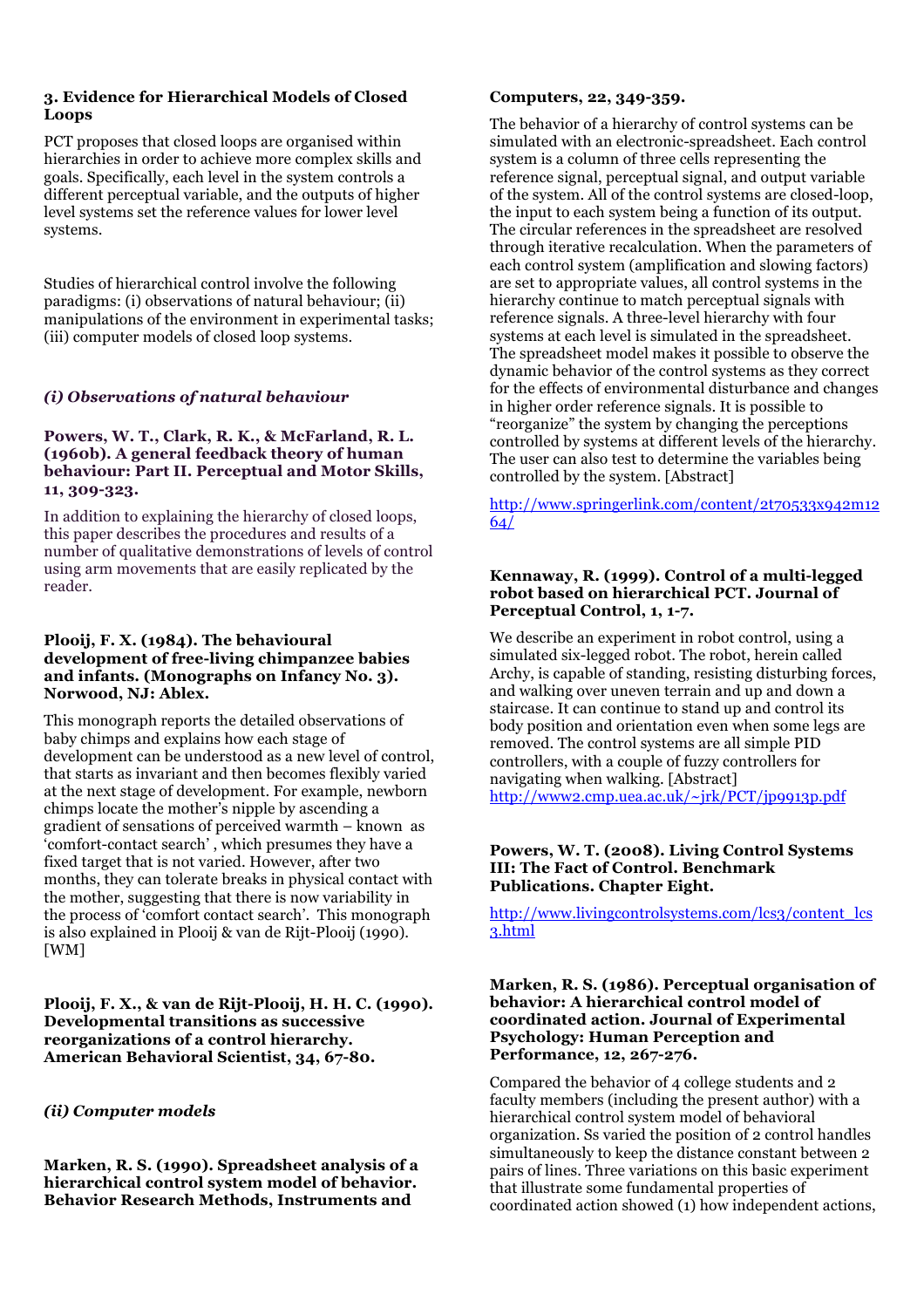#### **3. Evidence for Hierarchical Models of Closed Loops**

PCT proposes that closed loops are organised within hierarchies in order to achieve more complex skills and goals. Specifically, each level in the system controls a different perceptual variable, and the outputs of higher level systems set the reference values for lower level systems.

Studies of hierarchical control involve the following paradigms: (i) observations of natural behaviour; (ii) manipulations of the environment in experimental tasks; (iii) computer models of closed loop systems.

# *(i) Observations of natural behaviour*

#### **Powers, W. T., Clark, R. K., & McFarland, R. L. (1960b). A general feedback theory of human behaviour: Part II. Perceptual and Motor Skills, 11, 309-323.**

In addition to explaining the hierarchy of closed loops, this paper describes the procedures and results of a number of qualitative demonstrations of levels of control using arm movements that are easily replicated by the reader.

#### **Plooij, F. X. (1984). The behavioural development of free-living chimpanzee babies and infants. (Monographs on Infancy No. 3). Norwood, NJ: Ablex.**

This monograph reports the detailed observations of baby chimps and explains how each stage of development can be understood as a new level of control, that starts as invariant and then becomes flexibly varied at the next stage of development. For example, newborn chimps locate the mother's nipple by ascending a gradient of sensations of perceived warmth – known as 'comfort-contact search' , which presumes they have a fixed target that is not varied. However, after two months, they can tolerate breaks in physical contact with the mother, suggesting that there is now variability in the process of 'comfort contact search'. This monograph is also explained in Plooij & van de Rijt-Plooij (1990). [WM]

**Plooij, F. X., & van de Rijt-Plooij, H. H. C. (1990). Developmental transitions as successive reorganizations of a control hierarchy. American Behavioral Scientist, 34, 67-80.**

# *(ii) Computer models*

**Marken, R. S. (1990). Spreadsheet analysis of a hierarchical control system model of behavior. Behavior Research Methods, Instruments and** 

### **Computers, 22, 349-359.**

The behavior of a hierarchy of control systems can be simulated with an electronic-spreadsheet. Each control system is a column of three cells representing the reference signal, perceptual signal, and output variable of the system. All of the control systems are closed-loop, the input to each system being a function of its output. The circular references in the spreadsheet are resolved through iterative recalculation. When the parameters of each control system (amplification and slowing factors) are set to appropriate values, all control systems in the hierarchy continue to match perceptual signals with reference signals. A three-level hierarchy with four systems at each level is simulated in the spreadsheet. The spreadsheet model makes it possible to observe the dynamic behavior of the control systems as they correct for the effects of environmental disturbance and changes in higher order reference signals. It is possible to "reorganize" the system by changing the perceptions controlled by systems at different levels of the hierarchy. The user can also test to determine the variables being controlled by the system. [Abstract]

http://www.springerlink.com/content/2t70533x942m12 64/

### **Kennaway, R. (1999). Control of a multi-legged robot based on hierarchical PCT. Journal of Perceptual Control, 1, 1-7.**

We describe an experiment in robot control, using a simulated six-legged robot. The robot, herein called Archy, is capable of standing, resisting disturbing forces, and walking over uneven terrain and up and down a staircase. It can continue to stand up and control its body position and orientation even when some legs are removed. The control systems are all simple PID controllers, with a couple of fuzzy controllers for navigating when walking. [Abstract] http://www2.cmp.uea.ac.uk/~jrk/PCT/jp9913p.pdf

#### **Powers, W. T. (2008). Living Control Systems III: The Fact of Control. Benchmark Publications. Chapter Eight.**

http://www.livingcontrolsystems.com/lcs3/content\_lcs 3.html

#### **Marken, R. S. (1986). Perceptual organisation of behavior: A hierarchical control model of coordinated action. Journal of Experimental Psychology: Human Perception and Performance, 12, 267-276.**

Compared the behavior of 4 college students and 2 faculty members (including the present author) with a hierarchical control system model of behavioral organization. Ss varied the position of 2 control handles simultaneously to keep the distance constant between 2 pairs of lines. Three variations on this basic experiment that illustrate some fundamental properties of coordinated action showed (1) how independent actions,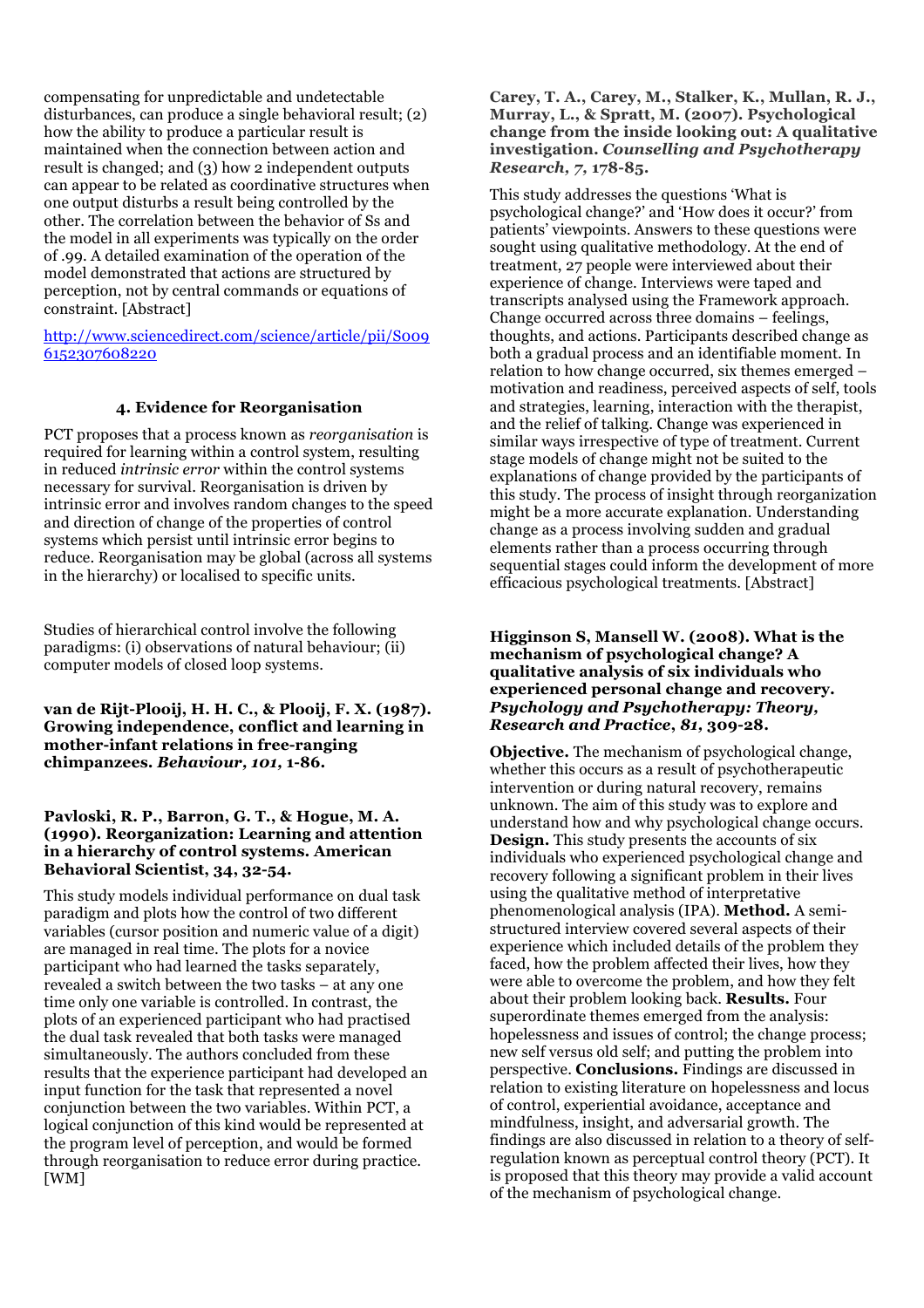compensating for unpredictable and undetectable disturbances, can produce a single behavioral result; (2) how the ability to produce a particular result is maintained when the connection between action and result is changed; and (3) how 2 independent outputs can appear to be related as coordinative structures when one output disturbs a result being controlled by the other. The correlation between the behavior of Ss and the model in all experiments was typically on the order of .99. A detailed examination of the operation of the model demonstrated that actions are structured by perception, not by central commands or equations of constraint. [Abstract]

http://www.sciencedirect.com/science/article/pii/S009 6152307608220

#### **4. Evidence for Reorganisation**

PCT proposes that a process known as *reorganisation* is required for learning within a control system, resulting in reduced *intrinsic error* within the control systems necessary for survival. Reorganisation is driven by intrinsic error and involves random changes to the speed and direction of change of the properties of control systems which persist until intrinsic error begins to reduce. Reorganisation may be global (across all systems in the hierarchy) or localised to specific units.

Studies of hierarchical control involve the following paradigms: (i) observations of natural behaviour; (ii) computer models of closed loop systems.

**van de Rijt-Plooij, H. H. C., & Plooij, F. X. (1987). Growing independence, conflict and learning in mother-infant relations in free-ranging chimpanzees.** *Behaviour, 101,* **1-86.**

#### **Pavloski, R. P., Barron, G. T., & Hogue, M. A. (1990). Reorganization: Learning and attention in a hierarchy of control systems. American Behavioral Scientist, 34, 32-54.**

This study models individual performance on dual task paradigm and plots how the control of two different variables (cursor position and numeric value of a digit) are managed in real time. The plots for a novice participant who had learned the tasks separately, revealed a switch between the two tasks – at any one time only one variable is controlled. In contrast, the plots of an experienced participant who had practised the dual task revealed that both tasks were managed simultaneously. The authors concluded from these results that the experience participant had developed an input function for the task that represented a novel conjunction between the two variables. Within PCT, a logical conjunction of this kind would be represented at the program level of perception, and would be formed through reorganisation to reduce error during practice. [WM]

**Carey, T. A., Carey, M., Stalker, K., Mullan, R. J., Murray, L., & Spratt, M. (2007). Psychological change from the inside looking out: A qualitative investigation.** *Counselling and Psychotherapy Research, 7,* **178-85.**

This study addresses the questions 'What is psychological change?' and 'How does it occur?' from patients' viewpoints. Answers to these questions were sought using qualitative methodology. At the end of treatment, 27 people were interviewed about their experience of change. Interviews were taped and transcripts analysed using the Framework approach. Change occurred across three domains – feelings, thoughts, and actions. Participants described change as both a gradual process and an identifiable moment. In relation to how change occurred, six themes emerged – motivation and readiness, perceived aspects of self, tools and strategies, learning, interaction with the therapist, and the relief of talking. Change was experienced in similar ways irrespective of type of treatment. Current stage models of change might not be suited to the explanations of change provided by the participants of this study. The process of insight through reorganization might be a more accurate explanation. Understanding change as a process involving sudden and gradual elements rather than a process occurring through sequential stages could inform the development of more efficacious psychological treatments. [Abstract]

#### **Higginson S, Mansell W. (2008). What is the mechanism of psychological change? A qualitative analysis of six individuals who experienced personal change and recovery.**  *Psychology and Psychotherapy: Theory, Research and Practice***,** *81,* **309-28.**

**Objective.** The mechanism of psychological change, whether this occurs as a result of psychotherapeutic intervention or during natural recovery, remains unknown. The aim of this study was to explore and understand how and why psychological change occurs. **Design.** This study presents the accounts of six individuals who experienced psychological change and recovery following a significant problem in their lives using the qualitative method of interpretative phenomenological analysis (IPA). **Method.** A semistructured interview covered several aspects of their experience which included details of the problem they faced, how the problem affected their lives, how they were able to overcome the problem, and how they felt about their problem looking back. **Results.** Four superordinate themes emerged from the analysis: hopelessness and issues of control; the change process; new self versus old self; and putting the problem into perspective. **Conclusions.** Findings are discussed in relation to existing literature on hopelessness and locus of control, experiential avoidance, acceptance and mindfulness, insight, and adversarial growth. The findings are also discussed in relation to a theory of selfregulation known as perceptual control theory (PCT). It is proposed that this theory may provide a valid account of the mechanism of psychological change.